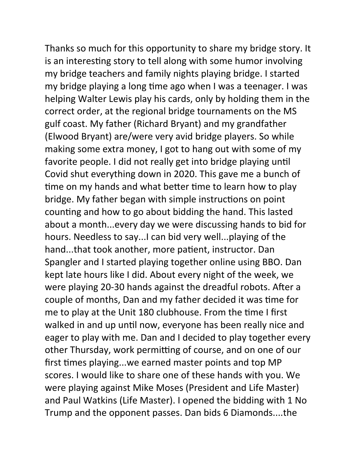Thanks so much for this opportunity to share my bridge story. It is an interesting story to tell along with some humor involving my bridge teachers and family nights playing bridge. I started my bridge playing a long time ago when I was a teenager. I was helping Walter Lewis play his cards, only by holding them in the correct order, at the regional bridge tournaments on the MS gulf coast. My father (Richard Bryant) and my grandfather (Elwood Bryant) are/were very avid bridge players. So while making some extra money, I got to hang out with some of my favorite people. I did not really get into bridge playing until Covid shut everything down in 2020. This gave me a bunch of time on my hands and what better time to learn how to play bridge. My father began with simple instructions on point counting and how to go about bidding the hand. This lasted about a month...every day we were discussing hands to bid for hours. Needless to say...I can bid very well...playing of the hand...that took another, more patient, instructor. Dan Spangler and I started playing together online using BBO. Dan kept late hours like I did. About every night of the week, we were playing 20-30 hands against the dreadful robots. After a couple of months, Dan and my father decided it was time for me to play at the Unit 180 clubhouse. From the time I first walked in and up until now, everyone has been really nice and eager to play with me. Dan and I decided to play together every other Thursday, work permitting of course, and on one of our first times playing...we earned master points and top MP scores. I would like to share one of these hands with you. We were playing against Mike Moses (President and Life Master) and Paul Watkins (Life Master). I opened the bidding with 1 No Trump and the opponent passes. Dan bids 6 Diamonds....the